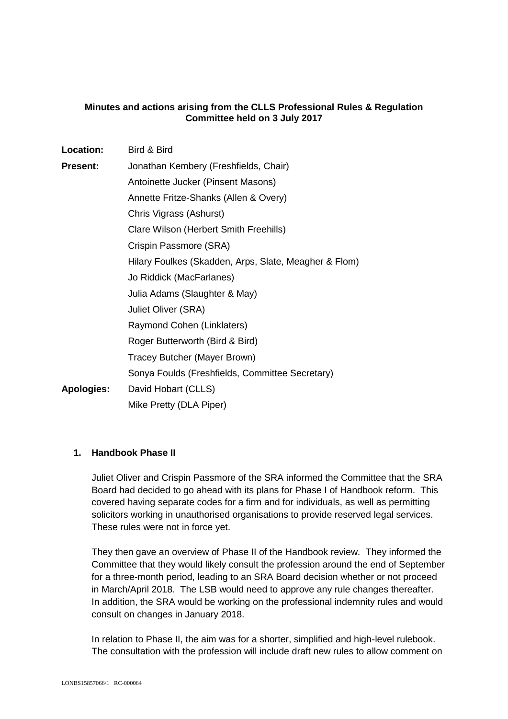## **Minutes and actions arising from the CLLS Professional Rules & Regulation Committee held on 3 July 2017**

| Location:         | Bird & Bird                                           |
|-------------------|-------------------------------------------------------|
| <b>Present:</b>   | Jonathan Kembery (Freshfields, Chair)                 |
|                   | Antoinette Jucker (Pinsent Masons)                    |
|                   | Annette Fritze-Shanks (Allen & Overy)                 |
|                   | Chris Vigrass (Ashurst)                               |
|                   | Clare Wilson (Herbert Smith Freehills)                |
|                   | Crispin Passmore (SRA)                                |
|                   | Hilary Foulkes (Skadden, Arps, Slate, Meagher & Flom) |
|                   | Jo Riddick (MacFarlanes)                              |
|                   | Julia Adams (Slaughter & May)                         |
|                   | Juliet Oliver (SRA)                                   |
|                   | Raymond Cohen (Linklaters)                            |
|                   | Roger Butterworth (Bird & Bird)                       |
|                   | Tracey Butcher (Mayer Brown)                          |
|                   | Sonya Foulds (Freshfields, Committee Secretary)       |
| <b>Apologies:</b> | David Hobart (CLLS)                                   |
|                   | Mike Pretty (DLA Piper)                               |

#### **1. Handbook Phase II**

Juliet Oliver and Crispin Passmore of the SRA informed the Committee that the SRA Board had decided to go ahead with its plans for Phase I of Handbook reform. This covered having separate codes for a firm and for individuals, as well as permitting solicitors working in unauthorised organisations to provide reserved legal services. These rules were not in force yet.

They then gave an overview of Phase II of the Handbook review. They informed the Committee that they would likely consult the profession around the end of September for a three-month period, leading to an SRA Board decision whether or not proceed in March/April 2018. The LSB would need to approve any rule changes thereafter. In addition, the SRA would be working on the professional indemnity rules and would consult on changes in January 2018.

In relation to Phase II, the aim was for a shorter, simplified and high-level rulebook. The consultation with the profession will include draft new rules to allow comment on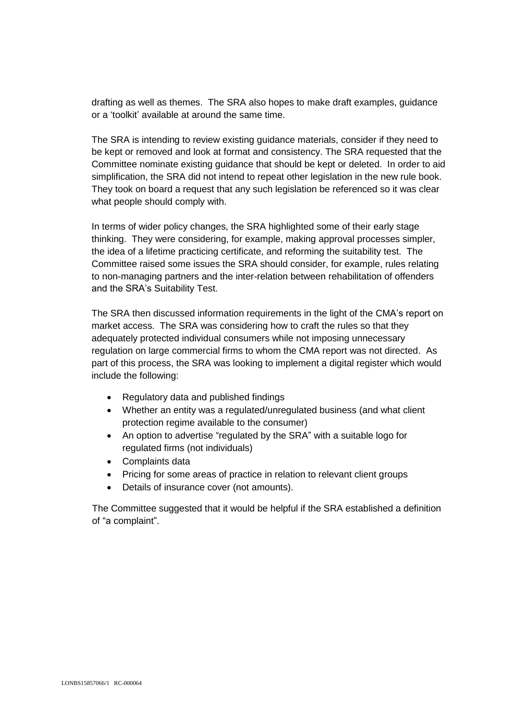drafting as well as themes. The SRA also hopes to make draft examples, guidance or a 'toolkit' available at around the same time.

The SRA is intending to review existing guidance materials, consider if they need to be kept or removed and look at format and consistency. The SRA requested that the Committee nominate existing guidance that should be kept or deleted. In order to aid simplification, the SRA did not intend to repeat other legislation in the new rule book. They took on board a request that any such legislation be referenced so it was clear what people should comply with.

In terms of wider policy changes, the SRA highlighted some of their early stage thinking. They were considering, for example, making approval processes simpler, the idea of a lifetime practicing certificate, and reforming the suitability test. The Committee raised some issues the SRA should consider, for example, rules relating to non-managing partners and the inter-relation between rehabilitation of offenders and the SRA's Suitability Test.

The SRA then discussed information requirements in the light of the CMA's report on market access. The SRA was considering how to craft the rules so that they adequately protected individual consumers while not imposing unnecessary regulation on large commercial firms to whom the CMA report was not directed. As part of this process, the SRA was looking to implement a digital register which would include the following:

- Regulatory data and published findings
- Whether an entity was a regulated/unregulated business (and what client protection regime available to the consumer)
- An option to advertise "regulated by the SRA" with a suitable logo for regulated firms (not individuals)
- Complaints data
- Pricing for some areas of practice in relation to relevant client groups
- Details of insurance cover (not amounts).

The Committee suggested that it would be helpful if the SRA established a definition of "a complaint".